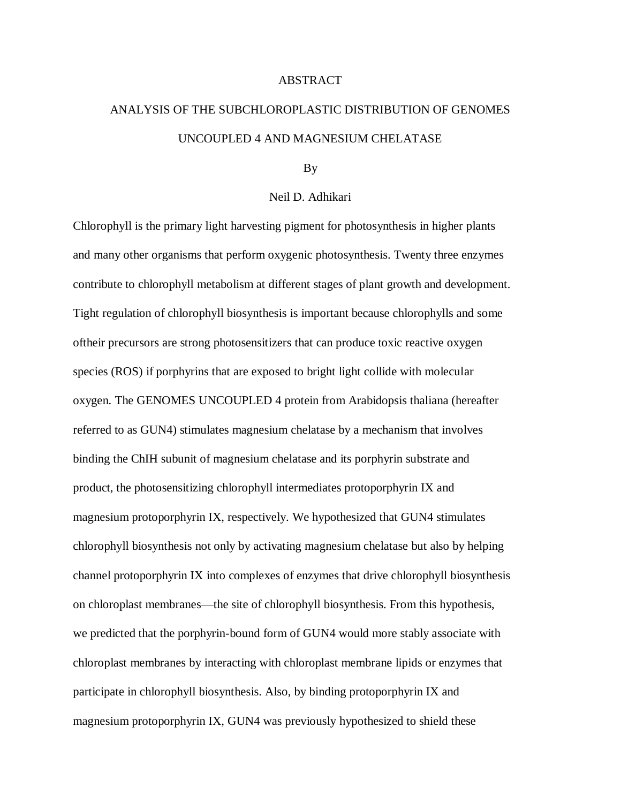## ABSTRACT

## ANALYSIS OF THE SUBCHLOROPLASTIC DISTRIBUTION OF GENOMES UNCOUPLED 4 AND MAGNESIUM CHELATASE

## By

## Neil D. Adhikari

Chlorophyll is the primary light harvesting pigment for photosynthesis in higher plants and many other organisms that perform oxygenic photosynthesis. Twenty three enzymes contribute to chlorophyll metabolism at different stages of plant growth and development. Tight regulation of chlorophyll biosynthesis is important because chlorophylls and some oftheir precursors are strong photosensitizers that can produce toxic reactive oxygen species (ROS) if porphyrins that are exposed to bright light collide with molecular oxygen. The GENOMES UNCOUPLED 4 protein from Arabidopsis thaliana (hereafter referred to as GUN4) stimulates magnesium chelatase by a mechanism that involves binding the ChIH subunit of magnesium chelatase and its porphyrin substrate and product, the photosensitizing chlorophyll intermediates protoporphyrin IX and magnesium protoporphyrin IX, respectively. We hypothesized that GUN4 stimulates chlorophyll biosynthesis not only by activating magnesium chelatase but also by helping channel protoporphyrin IX into complexes of enzymes that drive chlorophyll biosynthesis on chloroplast membranes—the site of chlorophyll biosynthesis. From this hypothesis, we predicted that the porphyrin-bound form of GUN4 would more stably associate with chloroplast membranes by interacting with chloroplast membrane lipids or enzymes that participate in chlorophyll biosynthesis. Also, by binding protoporphyrin IX and magnesium protoporphyrin IX, GUN4 was previously hypothesized to shield these